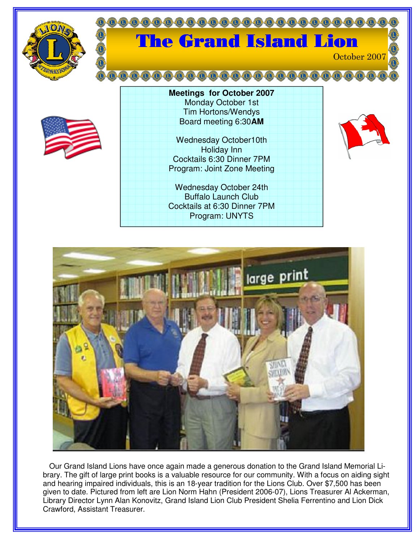

## $(0,0)$   $(0,0)$   $(0,0)$ The Grand Island Lion



| <b>Meetings for October 2007</b> |
|----------------------------------|
| Monday October 1st               |
| <b>Tim Hortons/Wendys</b>        |
| Board meeting 6:30AM             |
|                                  |
| <b>Wednesday October10th</b>     |
| <b>Holiday Inn</b>               |
| Cocktails 6:30 Dinner 7PM        |
| Program: Joint Zone Meeting      |
|                                  |
| <b>Wednesday October 24th</b>    |
| <b>Buffalo Launch Club</b>       |
| Cocktails at 6:30 Dinner 7PM     |
| Program: UNYTS                   |



October 2007



Our Grand Island Lions have once again made a generous donation to the Grand Island Memorial Library. The gift of large print books is a valuable resource for our community. With a focus on aiding sight and hearing impaired individuals, this is an 18-year tradition for the Lions Club. Over \$7,500 has been given to date. Pictured from left are Lion Norm Hahn (President 2006-07), Lions Treasurer Al Ackerman, Library Director Lynn Alan Konovitz, Grand Island Lion Club President Shelia Ferrentino and Lion Dick Crawford, Assistant Treasurer.